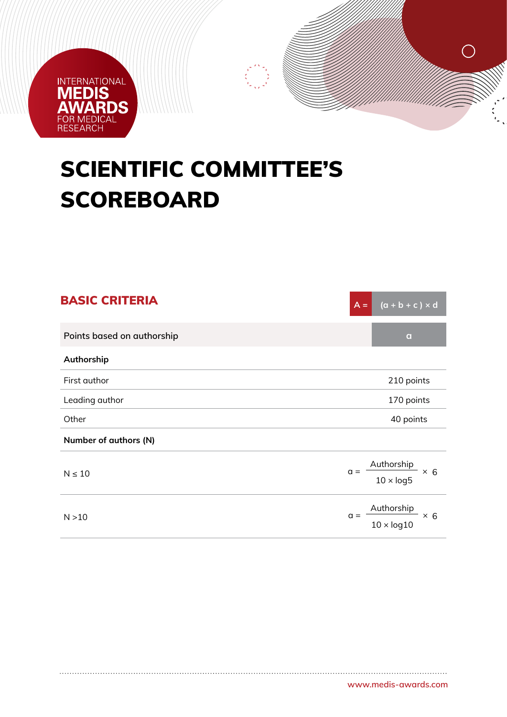

## SCIENTIFIC COMMITTEE'S **SCOREBOARD**

| <b>BASIC CRITERIA</b>      | $(a + b + c) \times d$<br>$A =$                            |
|----------------------------|------------------------------------------------------------|
| Points based on authorship | $\mathbf{q}$                                               |
| Authorship                 |                                                            |
| First author               | 210 points                                                 |
| Leading author             | 170 points                                                 |
| Other                      | 40 points                                                  |
| Number of authors (N)      |                                                            |
| $N \leq 10$                | Authorship<br>$\times$ 6<br>$\alpha =$<br>$10 \times log5$ |
| N > 10                     | Authorship<br>$\times$ 6<br>$a =$<br>$10 \times log10$     |

 $\bigcirc$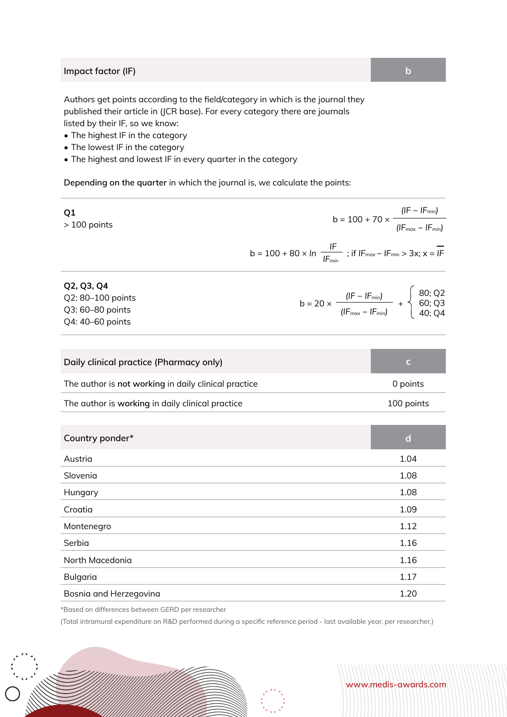## **Impact factor (IF) b**

Authors get points according to the field/category in which is the journal they published their article in (JCR base). For every category there are journals listed by their IF, so we know:

- The highest IF in the category
- The lowest IF in the category
- The highest and lowest IF in every quarter in the category

**Depending on the quarter** in which the journal is, we calculate the points:

| Q1<br>$>100$ points                                                     | b = 100 + 70 $\times$ $\frac{( F -  F_{min})}{( F_{max} -  F_{min}) }$                                            |
|-------------------------------------------------------------------------|-------------------------------------------------------------------------------------------------------------------|
|                                                                         | b = 100 + 80 × In $\frac{IF}{IF_{min}}$ ; if IF <sub>max</sub> - IF <sub>min</sub> > 3x; x = IF                   |
| Q2, Q3, Q4<br>Q2: 80-100 points<br>Q3: 60-80 points<br>Q4: 40-60 points | b = 20 x $\frac{(IF - IF_{min})}{(IF_{max} - IF_{min})}$ + $\begin{cases} 80; Q2 \\ 60; Q3 \\ 40; Q4 \end{cases}$ |
| Daily clinical practice (Pharmacy only)                                 | $\mathsf{C}$                                                                                                      |
| The author is not working in daily clinical practice                    | 0 points                                                                                                          |
| The author is working in daily clinical practice                        | 100 points                                                                                                        |
| Country ponder*                                                         | $\mathbf d$                                                                                                       |
| Austria                                                                 | 1.04                                                                                                              |
| Slovenia                                                                | 1.08                                                                                                              |
| Hungary                                                                 | 1.08                                                                                                              |
| Croatia                                                                 | 1.09                                                                                                              |
| Montenegro                                                              | 1.12                                                                                                              |
| Serbia                                                                  | 1.16                                                                                                              |
| North Macedonia                                                         | 1.16                                                                                                              |
| Bulgaria                                                                | 1.17                                                                                                              |
| Bosnia and Herzegovina                                                  | 1.20                                                                                                              |

\*Based on differences between GERD per researcher

(Total intramural expenditure on R&D performed during a specific reference period - last available year, per researcher.)

**www.medis-awards.com**